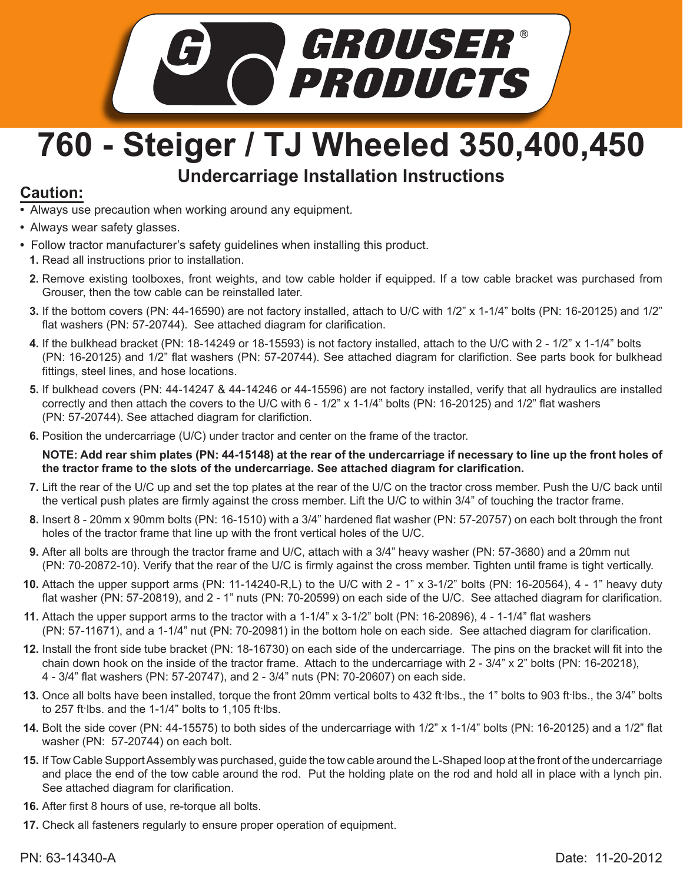

## **760 - Steiger / TJ Wheeled 350,400,450 Undercarriage Installation Instructions**

## **Caution:**

- Always use precaution when working around any equipment.
- Always wear safety glasses.
- Follow tractor manufacturer's safety guidelines when installing this product.
	- **1.** Read all instructions prior to installation.
	- Remove existing toolboxes, front weights, and tow cable holder if equipped. If a tow cable bracket was purchased from **2.** Grouser, then the tow cable can be reinstalled later.
	- If the bottom covers (PN: 44-16590) are not factory installed, attach to U/C with 1/2" x 1-1/4" bolts (PN: 16-20125) and 1/2" **3.** flat washers (PN: 57-20744). See attached diagram for clarification.
	- If the bulkhead bracket (PN: 18-14249 or 18-15593) is not factory installed, attach to the U/C with 2 1/2" x 1-1/4" bolts **4.** (PN: 16-20125) and 1/2" flat washers (PN: 57-20744). See attached diagram for clarifiction. See parts book for bulkhead fittings, steel lines, and hose locations.
	- **5.** If bulkhead covers (PN: 44-14247 & 44-14246 or 44-15596) are not factory installed, verify that all hydraulics are installed correctly and then attach the covers to the U/C with 6 - 1/2" x 1-1/4" bolts (PN: 16-20125) and 1/2" flat washers (PN: 57-20744). See attached diagram for clarifiction.
	- **6.** Position the undercarriage (U/C) under tractor and center on the frame of the tractor.

**NOTE: Add rear shim plates (PN: 44-15148) at the rear of the undercarriage if necessary to line up the front holes of the tractor frame to the slots of the undercarriage. See attached diagram for clarification.** 

- Lift the rear of the U/C up and set the top plates at the rear of the U/C on the tractor cross member. Push the U/C back until **7.** the vertical push plates are firmly against the cross member. Lift the U/C to within 3/4" of touching the tractor frame.
- Insert 8 20mm x 90mm bolts (PN: 16-1510) with a 3/4" hardened flat washer (PN: 57-20757) on each bolt through the front **8.** holes of the tractor frame that line up with the front vertical holes of the U/C.
- **9.** After all bolts are through the tractor frame and U/C, attach with a 3/4" heavy washer (PN: 57-3680) and a 20mm nut (PN: 70-20872-10). Verify that the rear of the U/C is firmly against the cross member. Tighten until frame is tight vertically.
- Attach the upper support arms (PN: 11-14240-R,L) to the U/C with 2 1" x 3-1/2" bolts (PN: 16-20564), 4 1" heavy duty **10.** flat washer (PN: 57-20819), and 2 - 1" nuts (PN: 70-20599) on each side of the U/C. See attached diagram for clarification.
- **11.** Attach the upper support arms to the tractor with a 1-1/4" x 3-1/2" bolt (PN: 16-20896), 4 1-1/4" flat washers (PN: 57-11671), and a 1-1/4" nut (PN: 70-20981) in the bottom hole on each side. See attached diagram for clarification.
- Install the front side tube bracket (PN: 18-16730) on each side of the undercarriage. The pins on the bracket will fit into the **12.** chain down hook on the inside of the tractor frame. Attach to the undercarriage with 2 - 3/4" x 2" bolts (PN: 16-20218), 4 - 3/4" flat washers (PN: 57-20747), and 2 - 3/4" nuts (PN: 70-20607) on each side.
- 13. Once all bolts have been installed, torque the front 20mm vertical bolts to 432 ft·lbs., the 1" bolts to 903 ft·lbs., the 3/4" bolts to 257 ft lbs. and the 1-1/4" bolts to 1,105 ft lbs.
- **14.** Bolt the side cover (PN: 44-15575) to both sides of the undercarriage with 1/2" x 1-1/4" bolts (PN: 16-20125) and a 1/2" flat washer (PN: 57-20744) on each bolt.
- If Tow Cable Support Assembly was purchased, guide the tow cable around the L-Shaped loop at the front of the undercarriage **15.** and place the end of the tow cable around the rod. Put the holding plate on the rod and hold all in place with a lynch pin. See attached diagram for clarification.
- After first 8 hours of use, re-torque all bolts. **16.**
- **17.** Check all fasteners regularly to ensure proper operation of equipment.